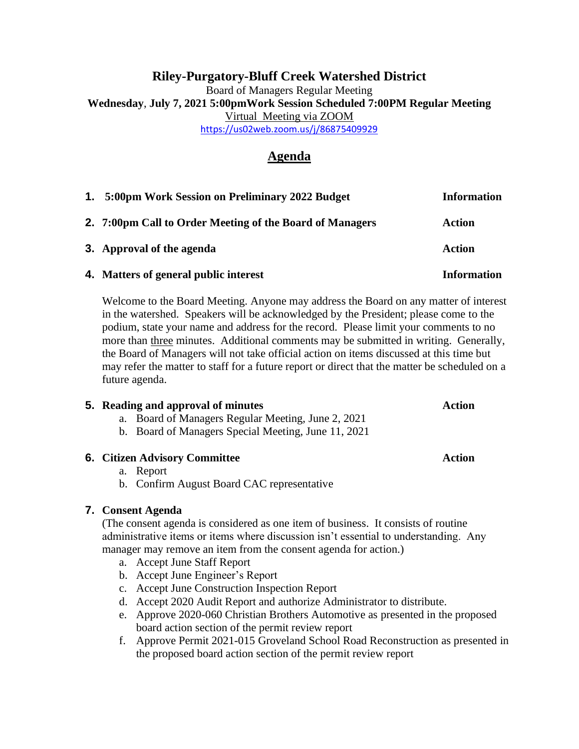### **Riley-Purgatory-Bluff Creek Watershed District** Board of Managers Regular Meeting **Wednesday**, **July 7, 2021 5:00pmWork Session Scheduled 7:00PM Regular Meeting** Virtual Meeting via ZOOM <https://us02web.zoom.us/j/86875409929>

## **Agenda**

| 1. 5:00pm Work Session on Preliminary 2022 Budget        | <b>Information</b> |
|----------------------------------------------------------|--------------------|
| 2. 7:00pm Call to Order Meeting of the Board of Managers | <b>Action</b>      |
| 3. Approval of the agenda                                | <b>Action</b>      |
| 4. Matters of general public interest                    | <b>Information</b> |

Welcome to the Board Meeting. Anyone may address the Board on any matter of interest in the watershed. Speakers will be acknowledged by the President; please come to the podium, state your name and address for the record. Please limit your comments to no more than three minutes. Additional comments may be submitted in writing. Generally, the Board of Managers will not take official action on items discussed at this time but may refer the matter to staff for a future report or direct that the matter be scheduled on a future agenda.

# **5.** Reading and approval of minutes **Action** a. Board of Managers Regular Meeting, June 2, 2021

b. Board of Managers Special Meeting, June 11, 2021

### **6. Citizen Advisory Committee Action**

### a. Report

b. Confirm August Board CAC representative

### **7. Consent Agenda**

(The consent agenda is considered as one item of business. It consists of routine administrative items or items where discussion isn't essential to understanding. Any manager may remove an item from the consent agenda for action.)

- a. Accept June Staff Report
- b. Accept June Engineer's Report
- c. Accept June Construction Inspection Report
- d. Accept 2020 Audit Report and authorize Administrator to distribute.
- e. Approve 2020-060 Christian Brothers Automotive as presented in the proposed board action section of the permit review report
- f. Approve Permit 2021-015 Groveland School Road Reconstruction as presented in the proposed board action section of the permit review report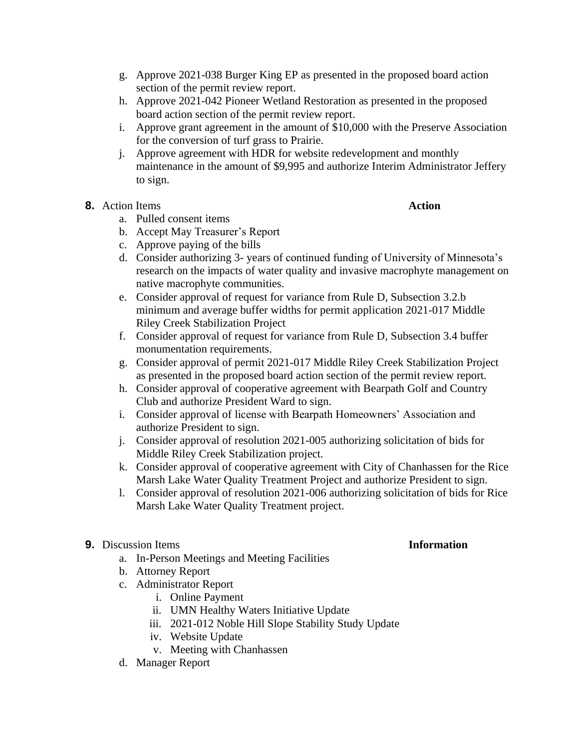- g. Approve 2021-038 Burger King EP as presented in the proposed board action section of the permit review report.
- h. Approve 2021-042 Pioneer Wetland Restoration as presented in the proposed board action section of the permit review report.
- i. Approve grant agreement in the amount of \$10,000 with the Preserve Association for the conversion of turf grass to Prairie.
- j. Approve agreement with HDR for website redevelopment and monthly maintenance in the amount of \$9,995 and authorize Interim Administrator Jeffery to sign.
- **8.** Action Items **Action**

- a. Pulled consent items
- b. Accept May Treasurer's Report
- c. Approve paying of the bills
- d. Consider authorizing 3- years of continued funding of University of Minnesota's research on the impacts of water quality and invasive macrophyte management on native macrophyte communities.
- e. Consider approval of request for variance from Rule D, Subsection 3.2.b minimum and average buffer widths for permit application 2021-017 Middle Riley Creek Stabilization Project
- f. Consider approval of request for variance from Rule D, Subsection 3.4 buffer monumentation requirements.
- g. Consider approval of permit 2021-017 Middle Riley Creek Stabilization Project as presented in the proposed board action section of the permit review report.
- h. Consider approval of cooperative agreement with Bearpath Golf and Country Club and authorize President Ward to sign.
- i. Consider approval of license with Bearpath Homeowners' Association and authorize President to sign.
- j. Consider approval of resolution 2021-005 authorizing solicitation of bids for Middle Riley Creek Stabilization project.
- k. Consider approval of cooperative agreement with City of Chanhassen for the Rice Marsh Lake Water Quality Treatment Project and authorize President to sign.
- l. Consider approval of resolution 2021-006 authorizing solicitation of bids for Rice Marsh Lake Water Quality Treatment project.
- **9.** Discussion Items **Information** 
	- a. In-Person Meetings and Meeting Facilities
	- b. Attorney Report
	- c. Administrator Report
		- i. Online Payment
		- ii. UMN Healthy Waters Initiative Update
		- iii. 2021-012 Noble Hill Slope Stability Study Update
		- iv. Website Update
		- v. Meeting with Chanhassen
	- d. Manager Report